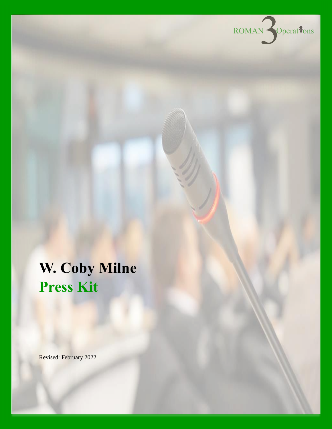

# **W. Coby Milne Press Kit**

Revised: February 2022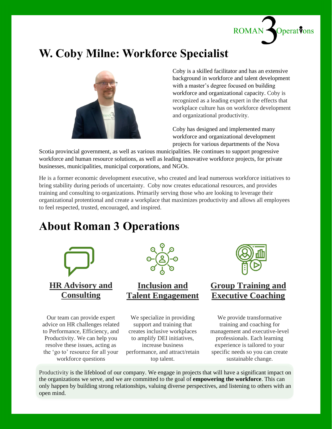

### **W. Coby Milne: Workforce Specialist**



Coby is a skilled facilitator and has an extensive background in workforce and talent development with a master's degree focused on building workforce and organizational capacity. Coby is recognized as a leading expert in the effects that workplace culture has on workforce development and organizational productivity.

Coby has designed and implemented many workforce and organizational development projects for various departments of the Nova

Scotia provincial government, as well as various municipalities. He continues to support progressive workforce and human resource solutions, as well as leading innovative workforce projects, for private businesses, municipalities, municipal corporations, and NGOs.

He is a former economic development executive, who created and lead numerous workforce initiatives to bring stability during periods of uncertainty. Coby now creates educational resources, and provides training and consulting to organizations. Primarily serving those who are looking to leverage their organizational protentional and create a workplace that maximizes productivity and allows all employees to feel respected, trusted, encouraged, and inspired.

### **About Roman 3 Operations**



Our team can provide expert advice on HR challenges related to Performance, Efficiency, and Productivity. We can help you resolve these issues, acting as the 'go to' resource for all your workforce questions



### **Inclusion and Talent Engagement**

We specialize in providing support and training that creates inclusive workplaces to amplify DEI initiatives, increase business performance, and attract/retain top talent.



### **Group Training and Executive Coaching**

We provide transformative training and coaching for management and executive-level professionals. Each learning experience is tailored to your specific needs so you can create sustainable change.

Productivity is the lifeblood of our company. We engage in projects that will have a significant impact on the organizations we serve, and we are committed to the goal of **empowering the workforce**. This can only happen by building strong relationships, valuing diverse perspectives, and listening to others with an open mind.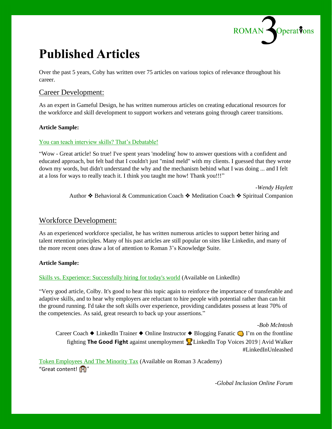

### **Published Articles**

Over the past 5 years, Coby has written over 75 articles on various topics of relevance throughout his career.

#### Career Development:

As an expert in Gameful Design, he has written numerous articles on creating educational resources for the workforce and skill development to support workers and veterans going through career transitions.

#### **Article Sample:**

#### [You can teach interview skills? That's Debatable!](https://www.linkedin.com/pulse/you-can-teach-interview-skills-thats-debatable-w-coby-milne/)

"Wow - Great article! So true! I've spent years 'modeling' how to answer questions with a confident and educated approach, but felt bad that I couldn't just "mind meld" with my clients. I guessed that they wrote down my words, but didn't understand the why and the mechanism behind what I was doing ... and I felt at a loss for ways to really teach it. I think you taught me how! Thank you!!!"

> *-Wendy Haylett* Author ❖ Behavioral & Communication Coach ❖ Meditation Coach ❖ Spiritual Companion

#### Workforce Development:

As an experienced workforce specialist, he has written numerous articles to support better hiring and talent retention principles. Many of his past articles are still popular on sites like Linkedin, and many of the more recent ones draw a lot of attention to Roman 3's Knowledge Suite.

#### **Article Sample:**

#### [Skills vs. Experience: Successfully hiring for today's world](https://www.linkedin.com/pulse/skills-vs-experience-successfully-hiring-2018-w-coby-milne/) (Available on LinkedIn)

"Very good article, Colby. It's good to hear this topic again to reinforce the importance of transferable and adaptive skills, and to hear why employers are reluctant to hire people with potential rather than can hit the ground running. I'd take the soft skills over experience, providing candidates possess at least 70% of the competencies. As said, great research to back up your assertions."

*-Bob McIntosh* Career Coach ♦ LinkedIn Trainer ♦ Online Instructor ♦ Blogging Fanatic ■ I'm on the frontline fighting **The Good Fight** against unemployment **L** LinkedIn Top Voices 2019 | Avid Walker #LinkedInUnleashed

Token [Employees](https://www.academy.roman3.ca/knowledge-suite/token-employees-and-the-minority-tax/) And The Minority Tax (Available on Roman 3 Academy) "Great content!

-*Global Inclusion Online Forum*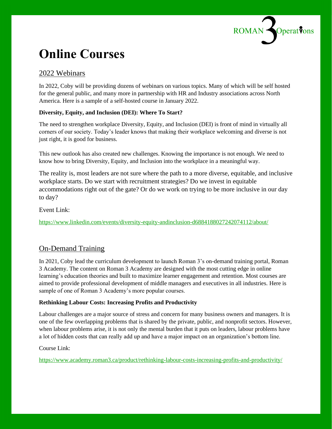

## **Online Courses**

#### 2022 Webinars

In 2022, Coby will be providing dozens of webinars on various topics. Many of which will be self hosted for the general public, and many more in partnership with HR and Industry associations across North America. Here is a sample of a self-hosted course in January 2022.

#### **Diversity, Equity, and Inclusion (DEI): Where To Start?**

The need to strengthen workplace Diversity, Equity, and Inclusion (DEI) is front of mind in virtually all corners of our society. Today's leader knows that making their workplace welcoming and diverse is not just right, it is good for business.

This new outlook has also created new challenges. Knowing the importance is not enough. We need to know how to bring Diversity, Equity, and Inclusion into the workplace in a meaningful way.

The reality is, most leaders are not sure where the path to a more diverse, equitable, and inclusive workplace starts. Do we start with recruitment strategies? Do we invest in equitable accommodations right out of the gate? Or do we work on trying to be more inclusive in our day to day?

Event Link:

<https://www.linkedin.com/events/diversity-equity-andinclusion-d6884188027242074112/about/>

#### On-Demand Training

In 2021, Coby lead the curriculum development to launch Roman 3's on-demand training portal, Roman 3 Academy. The content on Roman 3 Academy are designed with the most cutting edge in online learning's education theories and built to maximize learner engagement and retention. Most courses are aimed to provide professional development of middle managers and executives in all industries. Here is sample of one of Roman 3 Academy's more popular courses.

#### **Rethinking Labour Costs: Increasing Profits and Productivity**

Labour challenges are a major source of stress and concern for many business owners and managers. It is one of the few overlapping problems that is shared by the private, public, and nonprofit sectors. However, when labour problems arise, it is not only the mental burden that it puts on leaders, labour problems have a lot of hidden costs that can really add up and have a major impact on an organization's bottom line.

#### Course Link:

<https://www.academy.roman3.ca/product/rethinking-labour-costs-increasing-profits-and-productivity/>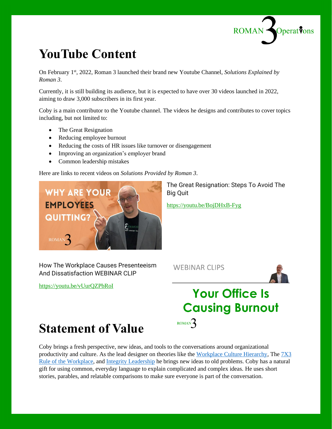

## **YouTube Content**

On February 1<sup>st</sup>, 2022, Roman 3 launched their brand new Youtube Channel, *Solutions Explained by Roman 3*.

Currently, it is still building its audience, but it is expected to have over 30 videos launched in 2022, aiming to draw 3,000 subscribers in its first year.

Coby is a main contributor to the Youtube channel. The videos he designs and contributes to cover topics including, but not limited to:

- The Great Resignation
- Reducing employee burnout
- Reducing the costs of HR issues like turnover or disengagement
- Improving an organization's employer brand
- Common leadership mistakes

Here are links to recent videos on *Solutions Provided by Roman 3*.



The Great Resignation: Steps To Avoid The Big Quit

<https://youtu.be/BojDHxB-Fyg>

**WEBINAR CLIPS** 

How The Workplace Causes Presenteeism And Dissatisfaction WEBINAR CLIP

<https://youtu.be/vUurQZPbRoI>



### **Your Office Is Causing Burnout** ROMAN<sup>2</sup>



Coby brings a fresh perspective, new ideas, and tools to the conversations around organizational productivity and culture. As the lead designer on theories like the [Workplace Culture Hierarchy,](http://www.academy.roman3.ca/workplace-culture-hierarchy) The [7X3](https://www.academy.roman3.ca/knowledge-suite/the-7x3-rule/)  [Rule of the Workplace,](https://www.academy.roman3.ca/knowledge-suite/the-7x3-rule/) and [Integrity Leadership](https://www.academy.roman3.ca/knowledge-suite/integrity-leadership/) he brings new ideas to old problems. Coby has a natural gift for using common, everyday language to explain complicated and complex ideas. He uses short stories, parables, and relatable comparisons to make sure everyone is part of the conversation.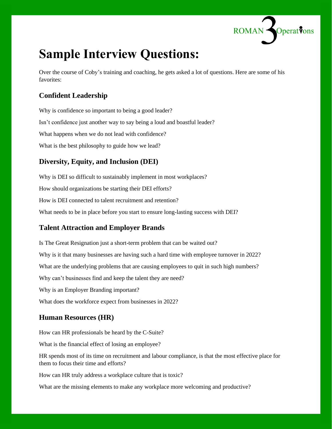

### **Sample Interview Questions:**

Over the course of Coby's training and coaching, he gets asked a lot of questions. Here are some of his favorites:

#### **Confident Leadership**

Why is confidence so important to being a good leader? Isn't confidence just another way to say being a loud and boastful leader? What happens when we do not lead with confidence? What is the best philosophy to guide how we lead?

#### **Diversity, Equity, and Inclusion (DEI)**

Why is DEI so difficult to sustainably implement in most workplaces? How should organizations be starting their DEI efforts? How is DEI connected to talent recruitment and retention? What needs to be in place before you start to ensure long-lasting success with DEI?

#### **Talent Attraction and Employer Brands**

Is The Great Resignation just a short-term problem that can be waited out? Why is it that many businesses are having such a hard time with employee turnover in 2022? What are the underlying problems that are causing employees to quit in such high numbers? Why can't businesses find and keep the talent they are need? Why is an Employer Branding important? What does the workforce expect from businesses in 2022?

#### **Human Resources (HR)**

How can HR professionals be heard by the C-Suite?

What is the financial effect of losing an employee?

HR spends most of its time on recruitment and labour compliance, is that the most effective place for them to focus their time and efforts?

How can HR truly address a workplace culture that is toxic?

What are the missing elements to make any workplace more welcoming and productive?